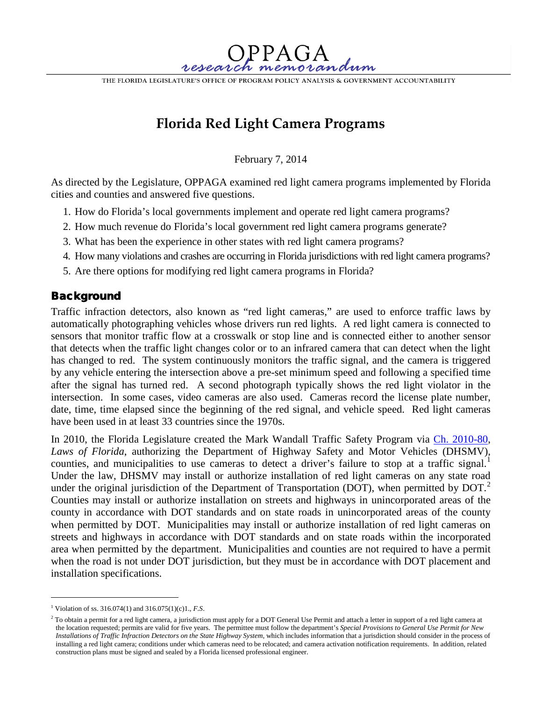THE FLORIDA LEGISLATURE'S OFFICE OF PROGRAM POLICY ANALYSIS & GOVERNMENT ACCOUNTABILITY

 $PPA$ 

# **Florida Red Light Camera Programs**

February 7, 2014

As directed by the Legislature, OPPAGA examined red light camera programs implemented by Florida cities and counties and answered five questions.

- 1. How do Florida's local governments implement and operate red light camera programs?
- 2. How much revenue do Florida's local government red light camera programs generate?
- 3. What has been the experience in other states with red light camera programs?
- 4. How many violations and crashes are occurring in Florida jurisdictions with red light camera programs?
- 5. Are there options for modifying red light camera programs in Florida?

## **Background**

Traffic infraction detectors, also known as "red light cameras," are used to enforce traffic laws by automatically photographing vehicles whose drivers run red lights. A red light camera is connected to sensors that monitor traffic flow at a crosswalk or stop line and is connected either to another sensor that detects when the traffic light changes color or to an infrared camera that can detect when the light has changed to red. The system continuously monitors the traffic signal, and the camera is triggered by any vehicle entering the intersection above a pre-set minimum speed and following a specified time after the signal has turned red. A second photograph typically shows the red light violator in the intersection. In some cases, video cameras are also used. Cameras record the license plate number, date, time, time elapsed since the beginning of the red signal, and vehicle speed. Red light cameras have been used in at least 33 countries since the 1970s.

In 2010, the Florida Legislature created the Mark Wandall Traffic Safety Program via [Ch. 2010-80,](http://laws.flrules.org/2010/80) *Laws of Florida*, authorizing the Department of Highway Safety and Motor Vehicles (DHSMV), counties, and municipalities to use cameras to detect a driver's failure to stop at a traffic signal.<sup>[1](#page-0-0)</sup> Under the law, DHSMV may install or authorize installation of red light cameras on any state road under the original jurisdiction of the Department of Transportation (DOT), when permitted by  $DOT<sup>2</sup>$  $DOT<sup>2</sup>$  $DOT<sup>2</sup>$ Counties may install or authorize installation on streets and highways in unincorporated areas of the county in accordance with DOT standards and on state roads in unincorporated areas of the county when permitted by DOT. Municipalities may install or authorize installation of red light cameras on streets and highways in accordance with DOT standards and on state roads within the incorporated area when permitted by the department. Municipalities and counties are not required to have a permit when the road is not under DOT jurisdiction, but they must be in accordance with DOT placement and installation specifications.

 $\overline{a}$ 

<span id="page-0-0"></span><sup>1</sup> Violation of ss. 316.074(1) and 316.075(1)(c)1., *F.S*.

<span id="page-0-1"></span><sup>&</sup>lt;sup>2</sup> To obtain a permit for a red light camera, a jurisdiction must apply for a DOT General Use Permit and attach a letter in support of a red light camera at the location requested; permits are valid for five years. The permittee must follow the department's *Special Provisions to General Use Permit for New Installations of Traffic Infraction Detectors on the State Highway System*, which includes information that a jurisdiction should consider in the process of installing a red light camera; conditions under which cameras need to be relocated; and camera activation notification requirements. In addition, related construction plans must be signed and sealed by a Florida licensed professional engineer.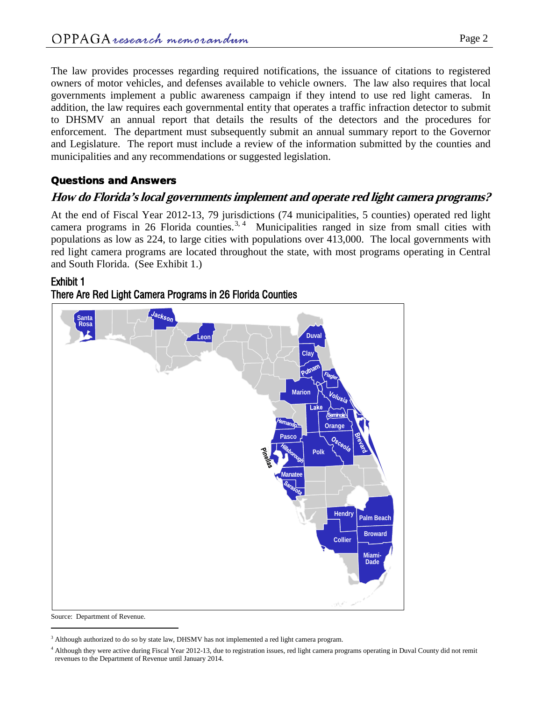The law provides processes regarding required notifications, the issuance of citations to registered owners of motor vehicles, and defenses available to vehicle owners. The law also requires that local governments implement a public awareness campaign if they intend to use red light cameras. In addition, the law requires each governmental entity that operates a traffic infraction detector to submit to DHSMV an annual report that details the results of the detectors and the procedures for enforcement. The department must subsequently submit an annual summary report to the Governor and Legislature. The report must include a review of the information submitted by the counties and municipalities and any recommendations or suggested legislation.

### Questions and Answers

### **How do Florida's local governments implement and operate red light camera programs?**

At the end of Fiscal Year 2012-13, 79 jurisdictions (74 municipalities, 5 counties) operated red light camera programs in 26 Florida counties.<sup>[3](#page-1-0), [4](#page-1-1)</sup> Municipalities ranged in size from small cities with populations as low as 224, to large cities with populations over 413,000. The local governments with red light camera programs are located throughout the state, with most programs operating in Central and South Florida. (See Exhibit 1.)

#### Exhibit 1





Source: Department of Revenue.

 $\overline{a}$ 

<span id="page-1-0"></span><sup>&</sup>lt;sup>3</sup> Although authorized to do so by state law, DHSMV has not implemented a red light camera program.

<span id="page-1-1"></span><sup>&</sup>lt;sup>4</sup> Although they were active during Fiscal Year 2012-13, due to registration issues, red light camera programs operating in Duval County did not remit revenues to the Department of Revenue until January 2014.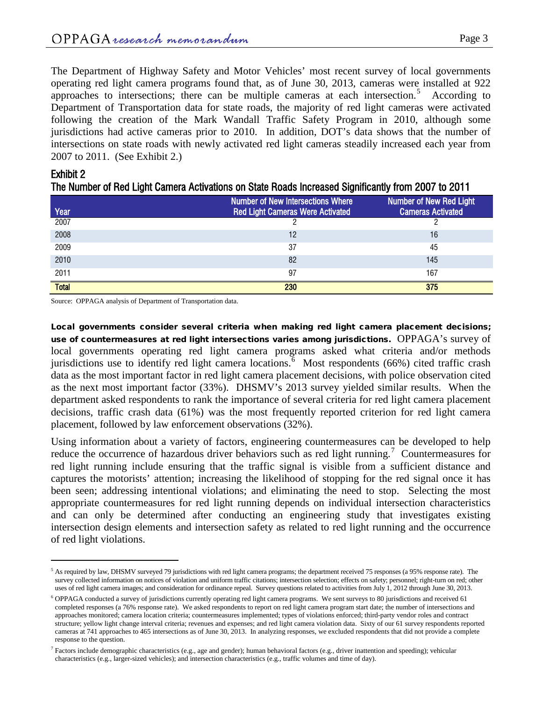The Department of Highway Safety and Motor Vehicles' most recent survey of local governments operating red light camera programs found that, as of June 30, 2013, cameras were installed at 922 approaches to intersections; there can be multiple cameras at each intersection.<sup>[5](#page-2-0)</sup> According to Department of Transportation data for state roads, the majority of red light cameras were activated following the creation of the Mark Wandall Traffic Safety Program in 2010, although some jurisdictions had active cameras prior to 2010. In addition, DOT's data shows that the number of intersections on state roads with newly activated red light cameras steadily increased each year from 2007 to 2011. (See Exhibit 2.)

#### Exhibit 2

 $\overline{a}$ 

| The number of Red Light Gamera Acuvations on State Roads increased Significantly from 2007 to 2011 |                                          |                                |  |
|----------------------------------------------------------------------------------------------------|------------------------------------------|--------------------------------|--|
|                                                                                                    | <b>Number of New Intersections Where</b> | <b>Number of New Red Light</b> |  |
| Year                                                                                               | <b>Red Light Cameras Were Activated</b>  | <b>Cameras Activated</b>       |  |
| 2007                                                                                               |                                          |                                |  |
| 2008                                                                                               | 12                                       | 16                             |  |

| The Number of Red Light Camera Activations on State Roads Increased Significantly from 2007 to 2011 |  |  |  |  |
|-----------------------------------------------------------------------------------------------------|--|--|--|--|
|-----------------------------------------------------------------------------------------------------|--|--|--|--|

2009 37 45 2010 82 145 2011 97 167 Total 230 September 230 September 230 September 230 September 230 September 230 September 230 September 230 September 230 September 230 September 230 September 230 September 230 September 230 September 230 September 230 Se

Source: OPPAGA analysis of Department of Transportation data.

Local governments consider several criteria when making red light camera placement decisions; use of countermeasures at red light intersections varies among jurisdictions. OPPAGA's survey of local governments operating red light camera programs asked what criteria and/or methods jurisdictions use to identify red light camera locations.<sup>[6](#page-2-1)</sup> Most respondents (66%) cited traffic crash data as the most important factor in red light camera placement decisions, with police observation cited as the next most important factor (33%). DHSMV's 2013 survey yielded similar results. When the department asked respondents to rank the importance of several criteria for red light camera placement decisions, traffic crash data (61%) was the most frequently reported criterion for red light camera placement, followed by law enforcement observations (32%).

Using information about a variety of factors, engineering countermeasures can be developed to help reduce the occurrence of hazardous driver behaviors such as red light running.<sup>[7](#page-2-2)</sup> Countermeasures for red light running include ensuring that the traffic signal is visible from a sufficient distance and captures the motorists' attention; increasing the likelihood of stopping for the red signal once it has been seen; addressing intentional violations; and eliminating the need to stop. Selecting the most appropriate countermeasures for red light running depends on individual intersection characteristics and can only be determined after conducting an engineering study that investigates existing intersection design elements and intersection safety as related to red light running and the occurrence of red light violations.

<span id="page-2-0"></span> $<sup>5</sup>$  As required by law, DHSMV surveyed 79 jurisdictions with red light camera programs; the department received 75 responses (a 95% response rate). The</sup> survey collected information on notices of violation and uniform traffic citations; intersection selection; effects on safety; personnel; right-turn on red; other uses of red light camera images; and consideration for ordinance repeal. Survey questions related to activities from July 1, 2012 through June 30, 2013.

<span id="page-2-1"></span><sup>6</sup> OPPAGA conducted a survey of jurisdictions currently operating red light camera programs. We sent surveys to 80 jurisdictions and received 61 completed responses (a 76% response rate). We asked respondents to report on red light camera program start date; the number of intersections and approaches monitored; camera location criteria; countermeasures implemented; types of violations enforced; third-party vendor roles and contract structure; yellow light change interval criteria; revenues and expenses; and red light camera violation data. Sixty of our 61 survey respondents reported cameras at 741 approaches to 465 intersections as of June 30, 2013. In analyzing responses, we excluded respondents that did not provide a complete response to the question.

<span id="page-2-2"></span> $^7$  Factors include demographic characteristics (e.g., age and gender); human behavioral factors (e.g., driver inattention and speeding); vehicular characteristics (e.g., larger-sized vehicles); and intersection characteristics (e.g., traffic volumes and time of day).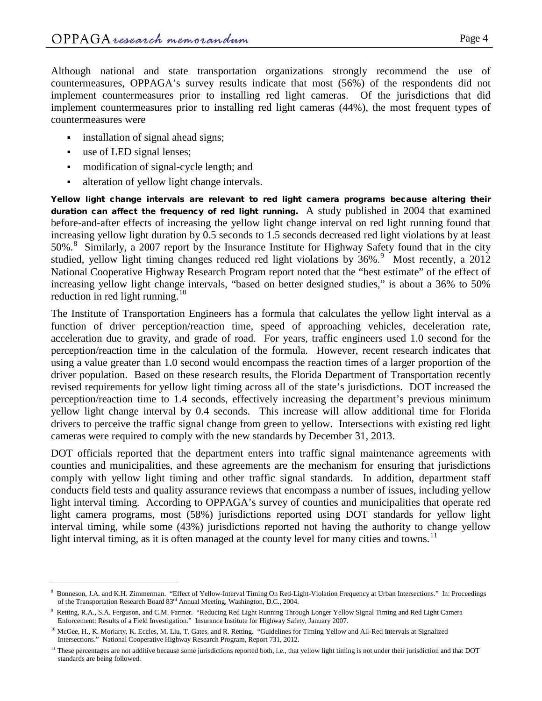Although national and state transportation organizations strongly recommend the use of countermeasures, OPPAGA's survey results indicate that most (56%) of the respondents did not implement countermeasures prior to installing red light cameras. Of the jurisdictions that did implement countermeasures prior to installing red light cameras (44%), the most frequent types of countermeasures were

- installation of signal ahead signs;
- use of LED signal lenses;

 $\overline{a}$ 

- modification of signal-cycle length; and
- alteration of yellow light change intervals.

Yellow light change intervals are relevant to red light camera programs because altering their duration can affect the frequency of red light running. A study published in 2004 that examined before-and-after effects of increasing the yellow light change interval on red light running found that increasing yellow light duration by 0.5 seconds to 1.5 seconds decreased red light violations by at least 50%.<sup>[8](#page-3-0)</sup> Similarly, a 2007 report by the Insurance Institute for Highway Safety found that in the city studied, yellow light timing changes reduced red light violations by 36%.<sup>[9](#page-3-1)</sup> Most recently, a 2012 National Cooperative Highway Research Program report noted that the "best estimate" of the effect of increasing yellow light change intervals, "based on better designed studies," is about a 36% to 50% reduction in red light running.<sup>[10](#page-3-2)</sup>

The Institute of Transportation Engineers has a formula that calculates the yellow light interval as a function of driver perception/reaction time, speed of approaching vehicles, deceleration rate, acceleration due to gravity, and grade of road. For years, traffic engineers used 1.0 second for the perception/reaction time in the calculation of the formula. However, recent research indicates that using a value greater than 1.0 second would encompass the reaction times of a larger proportion of the driver population. Based on these research results, the Florida Department of Transportation recently revised requirements for yellow light timing across all of the state's jurisdictions. DOT increased the perception/reaction time to 1.4 seconds, effectively increasing the department's previous minimum yellow light change interval by 0.4 seconds. This increase will allow additional time for Florida drivers to perceive the traffic signal change from green to yellow. Intersections with existing red light cameras were required to comply with the new standards by December 31, 2013.

DOT officials reported that the department enters into traffic signal maintenance agreements with counties and municipalities, and these agreements are the mechanism for ensuring that jurisdictions comply with yellow light timing and other traffic signal standards. In addition, department staff conducts field tests and quality assurance reviews that encompass a number of issues, including yellow light interval timing. According to OPPAGA's survey of counties and municipalities that operate red light camera programs, most (58%) jurisdictions reported using DOT standards for yellow light interval timing, while some (43%) jurisdictions reported not having the authority to change yellow light interval timing, as it is often managed at the county level for many cities and towns.<sup>[11](#page-3-3)</sup>

<span id="page-3-0"></span><sup>8</sup> Bonneson, J.A. and K.H. Zimmerman. "Effect of Yellow-Interval Timing On Red-Light-Violation Frequency at Urban Intersections." In: Proceedings of the Transportation Research Board 83rd Annual Meeting, Washington, D.C., 2004.

<span id="page-3-1"></span><sup>9</sup> Retting, R.A., S.A. Ferguson, and C.M. Farmer. "Reducing Red Light Running Through Longer Yellow Signal Timing and Red Light Camera Enforcement: Results of a Field Investigation." Insurance Institute for Highway Safety, January 2007.

<span id="page-3-2"></span><sup>&</sup>lt;sup>10</sup> McGee, H., K. Moriarty, K. Eccles, M. Liu, T. Gates, and R. Retting. "Guidelines for Timing Yellow and All-Red Intervals at Signalized Intersections." National Cooperative Highway Research Program, Report 731, 2012.

<span id="page-3-3"></span><sup>&</sup>lt;sup>11</sup> These percentages are not additive because some jurisdictions reported both, i.e., that yellow light timing is not under their jurisdiction and that DOT standards are being followed.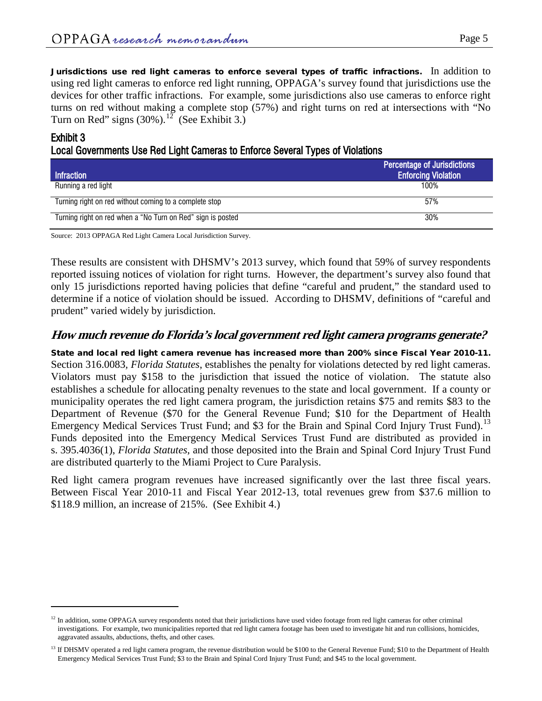Jurisdictions use red light cameras to enforce several types of traffic infractions. In addition to using red light cameras to enforce red light running, OPPAGA's survey found that jurisdictions use the devices for other traffic infractions. For example, some jurisdictions also use cameras to enforce right turns on red without making a complete stop (57%) and right turns on red at intersections with "No Turn on Red" signs  $(30\%)$ .<sup>12</sup> (See Exhibit 3.)

### Exhibit 3

 $\overline{a}$ 

Local Governments Use Red Light Cameras to Enforce Several Types of Violations

| <b>Infraction</b>                                           | <b>Percentage of Jurisdictions</b><br><b>Enforcing Violation</b> |
|-------------------------------------------------------------|------------------------------------------------------------------|
| Running a red light                                         | 100%                                                             |
| Turning right on red without coming to a complete stop      | 57%                                                              |
| Turning right on red when a "No Turn on Red" sign is posted | 30%                                                              |

Source: 2013 OPPAGA Red Light Camera Local Jurisdiction Survey.

These results are consistent with DHSMV's 2013 survey, which found that 59% of survey respondents reported issuing notices of violation for right turns. However, the department's survey also found that only 15 jurisdictions reported having policies that define "careful and prudent," the standard used to determine if a notice of violation should be issued. According to DHSMV, definitions of "careful and prudent" varied widely by jurisdiction.

# **How much revenue do Florida's local government red light camera programs generate?**

State and local red light camera revenue has increased more than 200% since Fiscal Year 2010-11. Section 316.0083*, Florida Statutes*, establishes the penalty for violations detected by red light cameras. Violators must pay \$158 to the jurisdiction that issued the notice of violation. The statute also establishes a schedule for allocating penalty revenues to the state and local government. If a county or municipality operates the red light camera program, the jurisdiction retains \$75 and remits \$83 to the Department of Revenue (\$70 for the General Revenue Fund; \$10 for the Department of Health Emergency Medical Services Trust Fund; and \$3 for the Brain and Spinal Cord Injury Trust Fund).<sup>[13](#page-4-1)</sup> Funds deposited into the Emergency Medical Services Trust Fund are distributed as provided in s. 395.4036(1), *Florida Statutes*, and those deposited into the Brain and Spinal Cord Injury Trust Fund are distributed quarterly to the Miami Project to Cure Paralysis.

Red light camera program revenues have increased significantly over the last three fiscal years. Between Fiscal Year 2010-11 and Fiscal Year 2012-13, total revenues grew from \$37.6 million to \$118.9 million, an increase of 215%. (See Exhibit 4.)

<span id="page-4-0"></span> $12$  In addition, some OPPAGA survey respondents noted that their jurisdictions have used video footage from red light cameras for other criminal investigations. For example, two municipalities reported that red light camera footage has been used to investigate hit and run collisions, homicides, aggravated assaults, abductions, thefts, and other cases.

<span id="page-4-1"></span><sup>&</sup>lt;sup>13</sup> If DHSMV operated a red light camera program, the revenue distribution would be \$100 to the General Revenue Fund; \$10 to the Department of Health Emergency Medical Services Trust Fund; \$3 to the Brain and Spinal Cord Injury Trust Fund; and \$45 to the local government.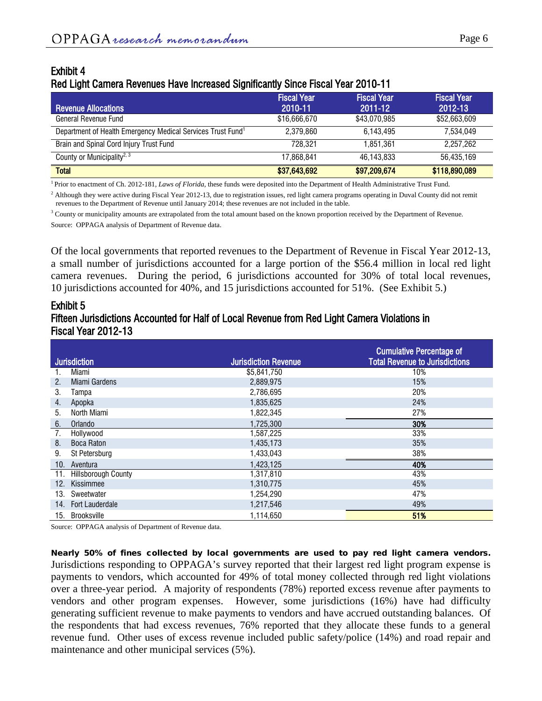## Exhibit 4 Red Light Camera Revenues Have Increased Significantly Since Fiscal Year 2010-11

| <b>Revenue Allocations</b>                                              | <b>Fiscal Year</b><br>2010-11 | <b>Fiscal Year</b><br>2011-12 | <b>Fiscal Year</b><br>2012-13 |
|-------------------------------------------------------------------------|-------------------------------|-------------------------------|-------------------------------|
| General Revenue Fund                                                    | \$16,666,670                  | \$43,070,985                  | \$52,663,609                  |
| Department of Health Emergency Medical Services Trust Fund <sup>1</sup> | 2.379.860                     | 6.143.495                     | 7.534.049                     |
| Brain and Spinal Cord Injury Trust Fund                                 | 728.321                       | 1.851.361                     | 2.257.262                     |
| County or Municipality <sup>2, 3</sup>                                  | 17.868.841                    | 46.143.833                    | 56.435.169                    |
| <b>Total</b>                                                            | \$37,643,692                  | \$97,209,674                  | \$118,890,089                 |

<sup>1</sup> Prior to enactment of Ch. 2012-181, *Laws of Florida,* these funds were deposited into the Department of Health Administrative Trust Fund.

 $^{2}$  Although they were active during Fiscal Year 2012-13, due to registration issues, red light camera programs operating in Duval County did not remit revenues to the Department of Revenue until January 2014; these revenues are not included in the table.

<sup>3</sup> County or municipality amounts are extrapolated from the total amount based on the known proportion received by the Department of Revenue.

Source: OPPAGA analysis of Department of Revenue data.

Of the local governments that reported revenues to the Department of Revenue in Fiscal Year 2012-13, a small number of jurisdictions accounted for a large portion of the \$56.4 million in local red light camera revenues. During the period, 6 jurisdictions accounted for 30% of total local revenues, 10 jurisdictions accounted for 40%, and 15 jurisdictions accounted for 51%. (See Exhibit 5.)

### Exhibit 5 Fifteen Jurisdictions Accounted for Half of Local Revenue from Red Light Camera Violations in Fiscal Year 2012-13

|     |                            |                             | <b>Cumulative Percentage of</b>       |
|-----|----------------------------|-----------------------------|---------------------------------------|
|     | <b>Jurisdiction</b>        | <b>Jurisdiction Revenue</b> | <b>Total Revenue to Jurisdictions</b> |
|     | Miami                      | \$5,841,750                 | 10%                                   |
| 2.  | <b>Miami Gardens</b>       | 2,889,975                   | 15%                                   |
| 3.  | Tampa                      | 2,786,695                   | 20%                                   |
| 4.  | Apopka                     | 1,835,625                   | 24%                                   |
| 5.  | North Miami                | 1,822,345                   | 27%                                   |
| 6.  | Orlando                    | 1,725,300                   | 30%                                   |
| 7.  | Hollywood                  | 1,587,225                   | 33%                                   |
| 8.  | <b>Boca Raton</b>          | 1,435,173                   | 35%                                   |
| 9.  | St Petersburg              | 1,433,043                   | 38%                                   |
| 10. | Aventura                   | 1,423,125                   | 40%                                   |
| 11. | <b>Hillsborough County</b> | 1,317,810                   | 43%                                   |
| 12. | Kissimmee                  | 1,310,775                   | 45%                                   |
| 13. | Sweetwater                 | 1,254,290                   | 47%                                   |
| 14. | <b>Fort Lauderdale</b>     | 1,217,546                   | 49%                                   |
| 15. | Brooksville                | 1,114,650                   | 51%                                   |

Source: OPPAGA analysis of Department of Revenue data.

Nearly 50% of fines collected by local governments are used to pay red light camera vendors. Jurisdictions responding to OPPAGA's survey reported that their largest red light program expense is payments to vendors, which accounted for 49% of total money collected through red light violations over a three-year period. A majority of respondents (78%) reported excess revenue after payments to vendors and other program expenses. However, some jurisdictions (16%) have had difficulty generating sufficient revenue to make payments to vendors and have accrued outstanding balances. Of the respondents that had excess revenues, 76% reported that they allocate these funds to a general revenue fund. Other uses of excess revenue included public safety/police (14%) and road repair and maintenance and other municipal services (5%).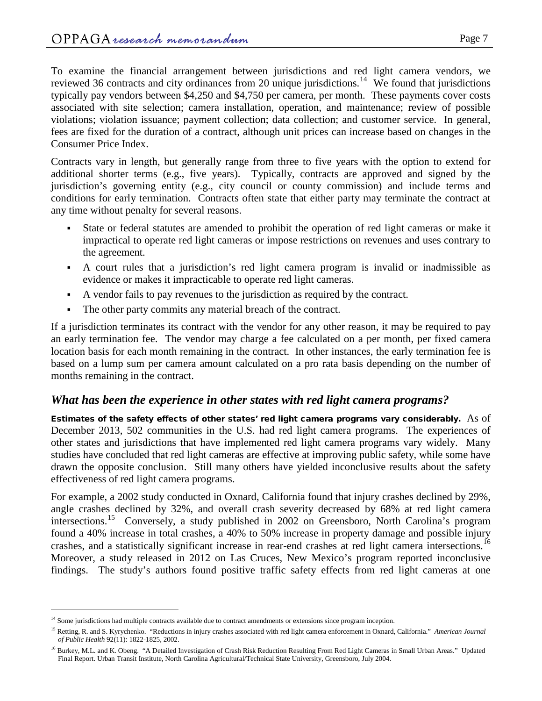To examine the financial arrangement between jurisdictions and red light camera vendors, we reviewed 36 contracts and city ordinances from 20 unique jurisdictions.<sup>14</sup> We found that jurisdictions typically pay vendors between \$4,250 and \$4,750 per camera, per month. These payments cover costs associated with site selection; camera installation, operation, and maintenance; review of possible violations; violation issuance; payment collection; data collection; and customer service. In general, fees are fixed for the duration of a contract, although unit prices can increase based on changes in the Consumer Price Index.

Contracts vary in length, but generally range from three to five years with the option to extend for additional shorter terms (e.g., five years). Typically, contracts are approved and signed by the jurisdiction's governing entity (e.g., city council or county commission) and include terms and conditions for early termination. Contracts often state that either party may terminate the contract at any time without penalty for several reasons.

- State or federal statutes are amended to prohibit the operation of red light cameras or make it impractical to operate red light cameras or impose restrictions on revenues and uses contrary to the agreement.
- A court rules that a jurisdiction's red light camera program is invalid or inadmissible as evidence or makes it impracticable to operate red light cameras.
- A vendor fails to pay revenues to the jurisdiction as required by the contract.
- The other party commits any material breach of the contract.

If a jurisdiction terminates its contract with the vendor for any other reason, it may be required to pay an early termination fee. The vendor may charge a fee calculated on a per month, per fixed camera location basis for each month remaining in the contract. In other instances, the early termination fee is based on a lump sum per camera amount calculated on a pro rata basis depending on the number of months remaining in the contract.

# *What has been the experience in other states with red light camera programs?*

Estimates of the safety effects of other states' red light camera programs vary considerably. As of December 2013, 502 communities in the U.S. had red light camera programs. The experiences of other states and jurisdictions that have implemented red light camera programs vary widely. Many studies have concluded that red light cameras are effective at improving public safety, while some have drawn the opposite conclusion. Still many others have yielded inconclusive results about the safety effectiveness of red light camera programs.

For example, a 2002 study conducted in Oxnard, California found that injury crashes declined by 29%, angle crashes declined by 32%, and overall crash severity decreased by 68% at red light camera intersections.<sup>15</sup> Conversely, a study published in 2002 on Greensboro, North Carolina's program found a 40% increase in total crashes, a 40% to 50% increase in property damage and possible injury crashes, and a statistically significant increase in rear-end crashes at red light camera intersections.<sup>[16](#page-6-2)</sup> Moreover, a study released in 2012 on Las Cruces, New Mexico's program reported inconclusive findings. The study's authors found positive traffic safety effects from red light cameras at one

 $\overline{a}$ 

<span id="page-6-0"></span><sup>&</sup>lt;sup>14</sup> Some jurisdictions had multiple contracts available due to contract amendments or extensions since program inception.

<span id="page-6-1"></span><sup>15</sup> Retting, R. and S. Kyrychenko. "Reductions in injury crashes associated with red light camera enforcement in Oxnard, California." *American Journal of Public Health* 92(11): 1822-1825, 2002.

<span id="page-6-2"></span><sup>&</sup>lt;sup>16</sup> Burkey, M.L. and K. Obeng. "A Detailed Investigation of Crash Risk Reduction Resulting From Red Light Cameras in Small Urban Areas." Updated Final Report. Urban Transit Institute, North Carolina Agricultural/Technical State University, Greensboro, July 2004.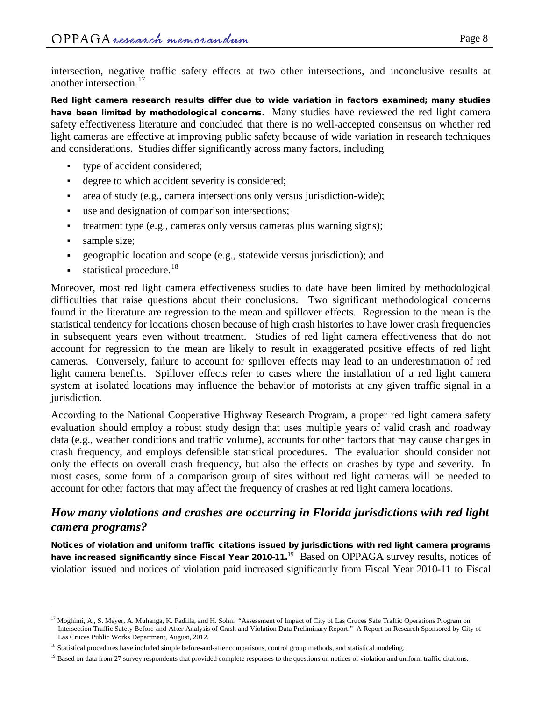intersection, negative traffic safety effects at two other intersections, and inconclusive results at another intersection. [17](#page-7-0)

Red light camera research results differ due to wide variation in factors examined; many studies have been limited by methodological concerns. Many studies have reviewed the red light camera safety effectiveness literature and concluded that there is no well-accepted consensus on whether red light cameras are effective at improving public safety because of wide variation in research techniques and considerations. Studies differ significantly across many factors, including

- type of accident considered;
- degree to which accident severity is considered;
- area of study (e.g., camera intersections only versus jurisdiction-wide);
- use and designation of comparison intersections;
- treatment type (e.g., cameras only versus cameras plus warning signs);
- sample size;

 $\overline{a}$ 

- geographic location and scope (e.g., statewide versus jurisdiction); and
- $\blacksquare$  statistical procedure.<sup>[18](#page-7-1)</sup>

Moreover, most red light camera effectiveness studies to date have been limited by methodological difficulties that raise questions about their conclusions. Two significant methodological concerns found in the literature are regression to the mean and spillover effects. Regression to the mean is the statistical tendency for locations chosen because of high crash histories to have lower crash frequencies in subsequent years even without treatment. Studies of red light camera effectiveness that do not account for regression to the mean are likely to result in exaggerated positive effects of red light cameras. Conversely, failure to account for spillover effects may lead to an underestimation of red light camera benefits. Spillover effects refer to cases where the installation of a red light camera system at isolated locations may influence the behavior of motorists at any given traffic signal in a jurisdiction.

According to the National Cooperative Highway Research Program, a proper red light camera safety evaluation should employ a robust study design that uses multiple years of valid crash and roadway data (e.g., weather conditions and traffic volume), accounts for other factors that may cause changes in crash frequency, and employs defensible statistical procedures. The evaluation should consider not only the effects on overall crash frequency, but also the effects on crashes by type and severity. In most cases, some form of a comparison group of sites without red light cameras will be needed to account for other factors that may affect the frequency of crashes at red light camera locations.

# *How many violations and crashes are occurring in Florida jurisdictions with red light camera programs?*

Notices of violation and uniform traffic citations issued by jurisdictions with red light camera programs have increased significantly since Fiscal Year 2010-11.<sup>19</sup> Based on OPPAGA survey results, notices of violation issued and notices of violation paid increased significantly from Fiscal Year 2010-11 to Fiscal

<span id="page-7-0"></span><sup>&</sup>lt;sup>17</sup> Moghimi, A., S. Meyer, A. Muhanga, K. Padilla, and H. Sohn. "Assessment of Impact of City of Las Cruces Safe Traffic Operations Program on Intersection Traffic Safety Before-and-After Analysis of Crash and Violation Data Preliminary Report." A Report on Research Sponsored by City of Las Cruces Public Works Department, August, 2012.

<span id="page-7-1"></span><sup>&</sup>lt;sup>18</sup> Statistical procedures have included simple before-and-after comparisons, control group methods, and statistical modeling.

<span id="page-7-2"></span><sup>&</sup>lt;sup>19</sup> Based on data from 27 survey respondents that provided complete responses to the questions on notices of violation and uniform traffic citations.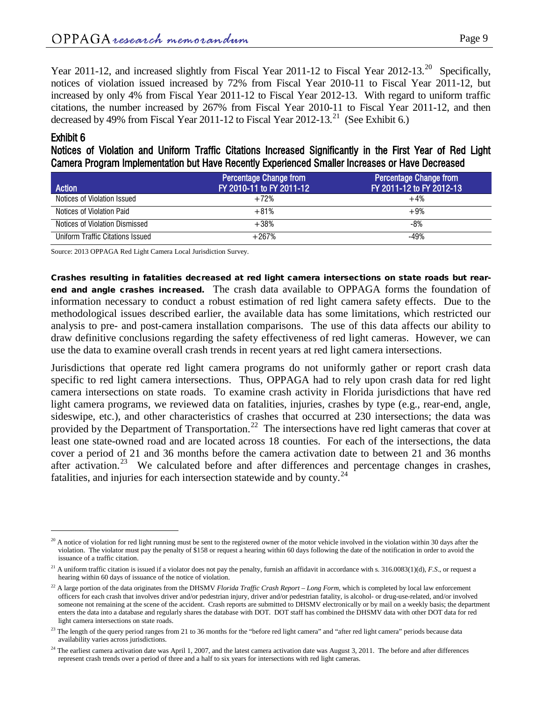Year [20](#page-8-0)11-12, and increased slightly from Fiscal Year 2011-12 to Fiscal Year 2012-13.<sup>20</sup> Specifically, notices of violation issued increased by 72% from Fiscal Year 2010-11 to Fiscal Year 2011-12, but increased by only 4% from Fiscal Year 2011-12 to Fiscal Year 2012-13. With regard to uniform traffic citations, the number increased by 267% from Fiscal Year 2010-11 to Fiscal Year 2011-12, and then decreased by 49% from Fiscal Year 2011-12 to Fiscal Year 2012-13.<sup>[21](#page-8-1)</sup> (See Exhibit 6.)

### Exhibit 6

 $\overline{a}$ 

Notices of Violation and Uniform Traffic Citations Increased Significantly in the First Year of Red Light Camera Program Implementation but Have Recently Experienced Smaller Increases or Have Decreased

| <b>Action</b>                    | <b>Percentage Change from</b><br>FY 2010-11 to FY 2011-12 | <b>Percentage Change from</b><br>FY 2011-12 to FY 2012-13 |
|----------------------------------|-----------------------------------------------------------|-----------------------------------------------------------|
| Notices of Violation Issued      | $+72%$                                                    | $+4%$                                                     |
| Notices of Violation Paid        | $+81%$                                                    | $+9%$                                                     |
| Notices of Violation Dismissed   | $+38%$                                                    | -8%                                                       |
| Uniform Traffic Citations Issued | $+267%$                                                   | $-49%$                                                    |

Source: 2013 OPPAGA Red Light Camera Local Jurisdiction Survey.

Crashes resulting in fatalities decreased at red light camera intersections on state roads but rearend and angle crashes increased. The crash data available to OPPAGA forms the foundation of information necessary to conduct a robust estimation of red light camera safety effects. Due to the methodological issues described earlier, the available data has some limitations, which restricted our analysis to pre- and post-camera installation comparisons. The use of this data affects our ability to draw definitive conclusions regarding the safety effectiveness of red light cameras. However, we can use the data to examine overall crash trends in recent years at red light camera intersections.

Jurisdictions that operate red light camera programs do not uniformly gather or report crash data specific to red light camera intersections. Thus, OPPAGA had to rely upon crash data for red light camera intersections on state roads. To examine crash activity in Florida jurisdictions that have red light camera programs, we reviewed data on fatalities, injuries, crashes by type (e.g., rear-end, angle, sideswipe, etc.), and other characteristics of crashes that occurred at 230 intersections; the data was provided by the Department of Transportation.<sup>22</sup> The intersections have red light cameras that cover at least one state-owned road and are located across 18 counties. For each of the intersections, the data cover a period of 21 and 36 months before the camera activation date to between 21 and 36 months after activation.<sup>[23](#page-8-3)</sup> We calculated before and after differences and percentage changes in crashes, fatalities, and injuries for each intersection statewide and by county.<sup>[24](#page-8-4)</sup>

<span id="page-8-0"></span> $^{20}$  A notice of violation for red light running must be sent to the registered owner of the motor vehicle involved in the violation within 30 days after the violation. The violator must pay the penalty of \$158 or request a hearing within 60 days following the date of the notification in order to avoid the issuance of a traffic citation.

<span id="page-8-1"></span><sup>&</sup>lt;sup>21</sup> A uniform traffic citation is issued if a violator does not pay the penalty, furnish an affidavit in accordance with s. 316.0083(1)(d), *F.S.*, or request a hearing within 60 days of issuance of the notice of violation.

<span id="page-8-2"></span><sup>&</sup>lt;sup>22</sup> A large portion of the data originates from the DHSMV *Florida Traffic Crash Report – Long Form*, which is completed by local law enforcement officers for each crash that involves driver and/or pedestrian injury, driver and/or pedestrian fatality, is alcohol- or drug-use-related, and/or involved someone not remaining at the scene of the accident. Crash reports are submitted to DHSMV electronically or by mail on a weekly basis; the department enters the data into a database and regularly shares the database with DOT. DOT staff has combined the DHSMV data with other DOT data for red light camera intersections on state roads.

<span id="page-8-3"></span><sup>&</sup>lt;sup>23</sup> The length of the query period ranges from 21 to 36 months for the "before red light camera" and "after red light camera" periods because data availability varies across jurisdictions.

<span id="page-8-4"></span> $24$  The earliest camera activation date was April 1, 2007, and the latest camera activation date was August 3, 2011. The before and after differences represent crash trends over a period of three and a half to six years for intersections with red light cameras.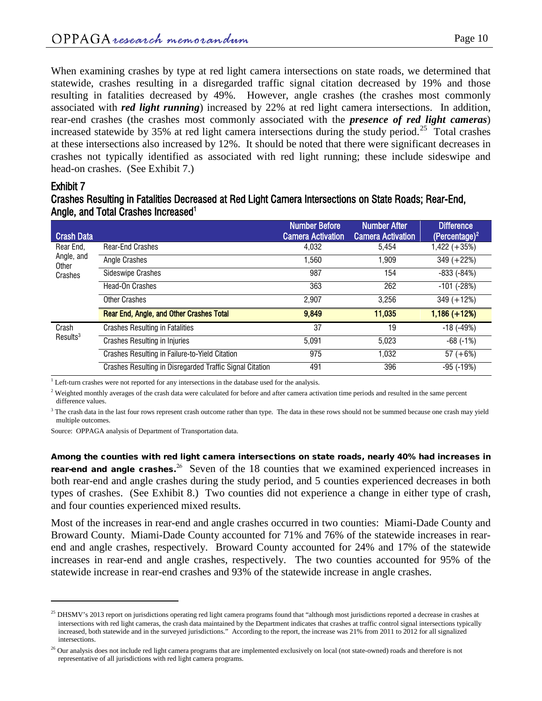When examining crashes by type at red light camera intersections on state roads, we determined that statewide, crashes resulting in a disregarded traffic signal citation decreased by 19% and those resulting in fatalities decreased by 49%. However, angle crashes (the crashes most commonly associated with *red light running*) increased by 22% at red light camera intersections. In addition, rear-end crashes (the crashes most commonly associated with the *presence of red light cameras*) increased statewide by 35% at red light camera intersections during the study period.<sup>25</sup> Total crashes at these intersections also increased by 12%. It should be noted that there were significant decreases in crashes not typically identified as associated with red light running; these include sideswipe and head-on crashes. (See Exhibit 7.)

#### Exhibit 7

 $\overline{a}$ 

### Crashes Resulting in Fatalities Decreased at Red Light Camera Intersections on State Roads; Rear-End, Angle, and Total Crashes Increased<sup>1</sup>

| <b>Crash Data</b>             |                                                          | <b>Number Before</b><br><b>Camera Activation</b> | <b>Number After</b><br><b>Camera Activation</b> | <b>Difference</b><br>(Percentage) <sup>2</sup> |
|-------------------------------|----------------------------------------------------------|--------------------------------------------------|-------------------------------------------------|------------------------------------------------|
| Rear End,                     | <b>Rear-End Crashes</b>                                  | 4,032                                            | 5,454                                           | $1,422 (+35%)$                                 |
| Angle, and<br>Other           | Angle Crashes                                            | 1,560                                            | 1.909                                           | $349 (+22%)$                                   |
| Crashes                       | <b>Sideswipe Crashes</b>                                 | 987                                              | 154                                             | $-833(-84%)$                                   |
|                               | Head-On Crashes                                          | 363                                              | 262                                             | $-101$ ( $-28\%$ )                             |
|                               | <b>Other Crashes</b>                                     | 2.907                                            | 3.256                                           | $349 (+12%)$                                   |
|                               | Rear End, Angle, and Other Crashes Total                 | 9,849                                            | 11,035                                          | $1,186 (+12%)$                                 |
| Crash<br>Results <sup>3</sup> | <b>Crashes Resulting in Fatalities</b>                   | 37                                               | 19                                              | $-18$ ( $-49\%$ )                              |
|                               | <b>Crashes Resulting in Injuries</b>                     | 5.091                                            | 5.023                                           | $-68$ $(-1%)$                                  |
|                               | Crashes Resulting in Failure-to-Yield Citation           | 975                                              | 1.032                                           | $57 (+6%)$                                     |
|                               | Crashes Resulting in Disregarded Traffic Signal Citation | 491                                              | 396                                             | -95 (-19%)                                     |

 $1$  Left-turn crashes were not reported for any intersections in the database used for the analysis.

 $2$  Weighted monthly averages of the crash data were calculated for before and after camera activation time periods and resulted in the same percent difference values.

 $3$  The crash data in the last four rows represent crash outcome rather than type. The data in these rows should not be summed because one crash may yield multiple outcomes.

Source: OPPAGA analysis of Department of Transportation data.

Among the counties with red light camera intersections on state roads, nearly 40% had increases in rear-end and angle crashes.<sup>[26](#page-9-1)</sup> Seven of the 18 counties that we examined experienced increases in both rear-end and angle crashes during the study period, and 5 counties experienced decreases in both types of crashes. (See Exhibit 8.) Two counties did not experience a change in either type of crash, and four counties experienced mixed results.

Most of the increases in rear-end and angle crashes occurred in two counties: Miami-Dade County and Broward County. Miami-Dade County accounted for 71% and 76% of the statewide increases in rearend and angle crashes, respectively. Broward County accounted for 24% and 17% of the statewide increases in rear-end and angle crashes, respectively. The two counties accounted for 95% of the statewide increase in rear-end crashes and 93% of the statewide increase in angle crashes.

<span id="page-9-0"></span> $25$  DHSMV's 2013 report on jurisdictions operating red light camera programs found that "although most jurisdictions reported a decrease in crashes at intersections with red light cameras, the crash data maintained by the Department indicates that crashes at traffic control signal intersections typically increased, both statewide and in the surveyed jurisdictions." According to the report, the increase was 21% from 2011 to 2012 for all signalized intersections.

<span id="page-9-1"></span><sup>&</sup>lt;sup>26</sup> Our analysis does not include red light camera programs that are implemented exclusively on local (not state-owned) roads and therefore is not representative of all jurisdictions with red light camera programs.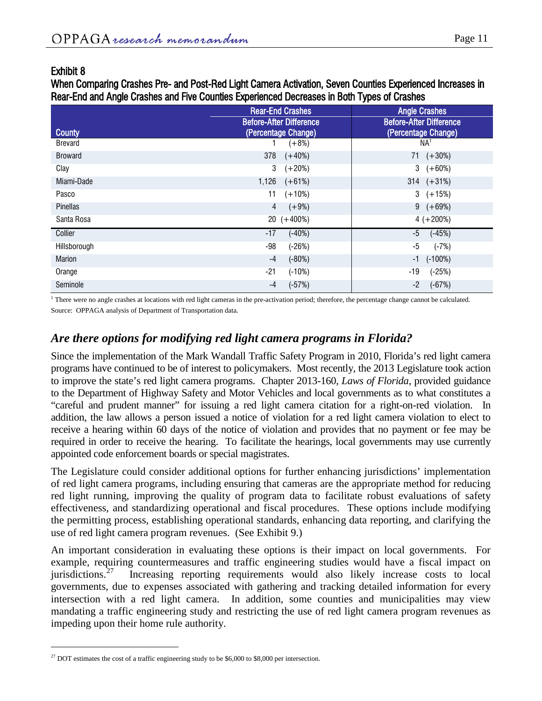### Exhibit 8

 $\overline{a}$ 

When Comparing Crashes Pre- and Post-Red Light Camera Activation, Seven Counties Experienced Increases in Rear-End and Angle Crashes and Five Counties Experienced Decreases in Both Types of Crashes

|                | <b>Rear-End Crashes</b>                               | <b>Angle Crashes</b>                                  |  |
|----------------|-------------------------------------------------------|-------------------------------------------------------|--|
| <b>County</b>  | <b>Before-After Difference</b><br>(Percentage Change) | <b>Before-After Difference</b><br>(Percentage Change) |  |
| <b>Brevard</b> | $(+8%)$                                               | NA <sup>1</sup>                                       |  |
| <b>Broward</b> | 378<br>$(+40%)$                                       | $71 (+30\%)$                                          |  |
| Clay           | 3<br>$(+20%)$                                         | $3 + 60\%)$                                           |  |
| Miami-Dade     | $1,126$ $(+61%)$                                      | $314 (+31\%)$                                         |  |
| Pasco          | 11<br>$(+10%)$                                        | $3 + 15\%)$                                           |  |
| Pinellas       | 4<br>$(+9%)$                                          | $9 (+69%)$                                            |  |
| Santa Rosa     | $20 (+400\%)$                                         | $4 (+200\%)$                                          |  |
| Collier        | $-17$<br>$(-40%)$                                     | -5<br>$(-45%)$                                        |  |
| Hillsborough   | -98<br>$(-26%)$                                       | $(-7%)$<br>-5                                         |  |
| <b>Marion</b>  | $-4$<br>$(-80%)$                                      | $(-100%)$<br>$-1$                                     |  |
| Orange         | -21<br>$(-10%)$                                       | $-19$<br>$(-25%)$                                     |  |
| Seminole       | $(-57%)$<br>$-4$                                      | $(-67%)$<br>-2                                        |  |

<sup>1</sup> There were no angle crashes at locations with red light cameras in the pre-activation period; therefore, the percentage change cannot be calculated. Source: OPPAGA analysis of Department of Transportation data.

# *Are there options for modifying red light camera programs in Florida?*

Since the implementation of the Mark Wandall Traffic Safety Program in 2010, Florida's red light camera programs have continued to be of interest to policymakers. Most recently, the 2013 Legislature took action to improve the state's red light camera programs. Chapter 2013-160, *Laws of Florida*, provided guidance to the Department of Highway Safety and Motor Vehicles and local governments as to what constitutes a "careful and prudent manner" for issuing a red light camera citation for a right-on-red violation. In addition, the law allows a person issued a notice of violation for a red light camera violation to elect to receive a hearing within 60 days of the notice of violation and provides that no payment or fee may be required in order to receive the hearing. To facilitate the hearings, local governments may use currently appointed code enforcement boards or special magistrates.

The Legislature could consider additional options for further enhancing jurisdictions' implementation of red light camera programs, including ensuring that cameras are the appropriate method for reducing red light running, improving the quality of program data to facilitate robust evaluations of safety effectiveness, and standardizing operational and fiscal procedures. These options include modifying the permitting process, establishing operational standards, enhancing data reporting, and clarifying the use of red light camera program revenues. (See Exhibit 9.)

An important consideration in evaluating these options is their impact on local governments. For example, requiring countermeasures and traffic engineering studies would have a fiscal impact on jurisdictions.<sup>27</sup> Increasing reporting requirements would also likely increase costs to local Increasing reporting requirements would also likely increase costs to local governments, due to expenses associated with gathering and tracking detailed information for every intersection with a red light camera. In addition, some counties and municipalities may view mandating a traffic engineering study and restricting the use of red light camera program revenues as impeding upon their home rule authority.

<span id="page-10-0"></span> $27$  DOT estimates the cost of a traffic engineering study to be \$6,000 to \$8,000 per intersection.